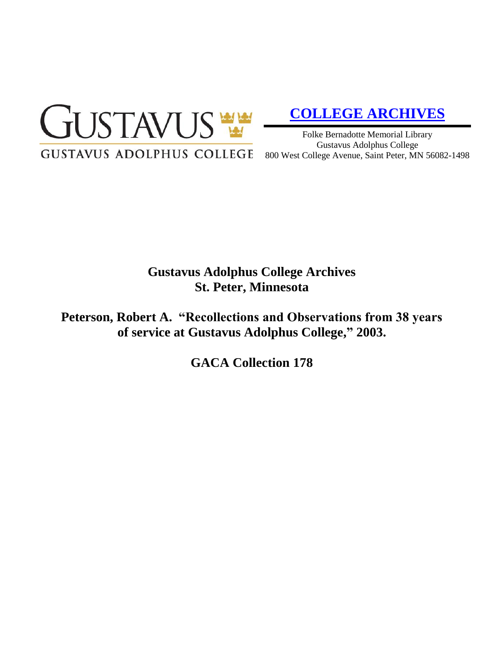

# **[COLLEGE ARCHIVES](http://gustavus.edu/academics/library/archives/)**

Folke Bernadotte Memorial Library Gustavus Adolphus College 800 West College Avenue, Saint Peter, MN 56082-1498

## **Gustavus Adolphus College Archives St. Peter, Minnesota**

**Peterson, Robert A. "Recollections and Observations from 38 years of service at Gustavus Adolphus College, " 2003.**

**GACA Collection 178**